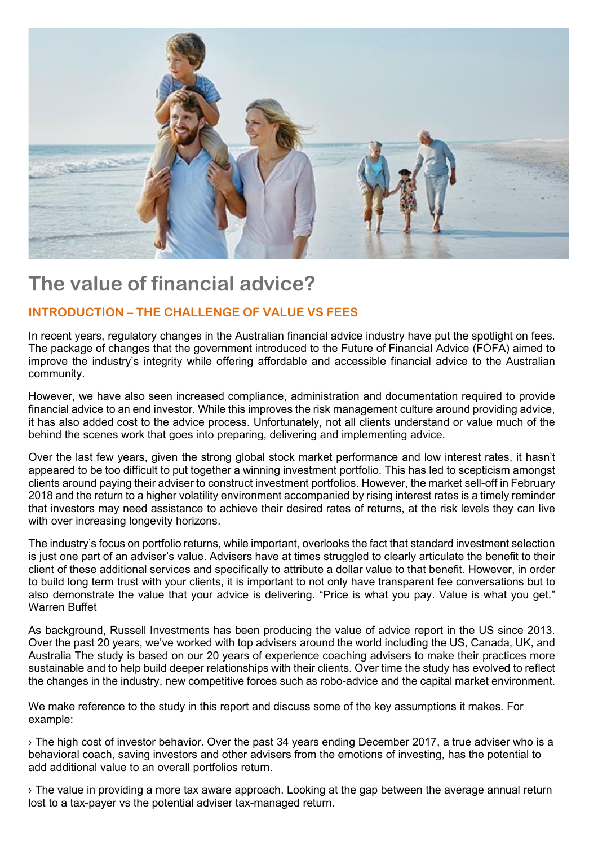

# **The value of financial advice?**

## **INTRODUCTION – THE CHALLENGE OF VALUE VS FEES**

In recent years, regulatory changes in the Australian financial advice industry have put the spotlight on fees. The package of changes that the government introduced to the Future of Financial Advice (FOFA) aimed to improve the industry's integrity while offering affordable and accessible financial advice to the Australian community.

However, we have also seen increased compliance, administration and documentation required to provide financial advice to an end investor. While this improves the risk management culture around providing advice, it has also added cost to the advice process. Unfortunately, not all clients understand or value much of the behind the scenes work that goes into preparing, delivering and implementing advice.

Over the last few years, given the strong global stock market performance and low interest rates, it hasn't appeared to be too difficult to put together a winning investment portfolio. This has led to scepticism amongst clients around paying their adviser to construct investment portfolios. However, the market sell-off in February 2018 and the return to a higher volatility environment accompanied by rising interest rates is a timely reminder that investors may need assistance to achieve their desired rates of returns, at the risk levels they can live with over increasing longevity horizons.

The industry's focus on portfolio returns, while important, overlooks the fact that standard investment selection is just one part of an adviser's value. Advisers have at times struggled to clearly articulate the benefit to their client of these additional services and specifically to attribute a dollar value to that benefit. However, in order to build long term trust with your clients, it is important to not only have transparent fee conversations but to also demonstrate the value that your advice is delivering. "Price is what you pay. Value is what you get." Warren Buffet

As background, Russell Investments has been producing the value of advice report in the US since 2013. Over the past 20 years, we've worked with top advisers around the world including the US, Canada, UK, and Australia The study is based on our 20 years of experience coaching advisers to make their practices more sustainable and to help build deeper relationships with their clients. Over time the study has evolved to reflect the changes in the industry, new competitive forces such as robo-advice and the capital market environment.

We make reference to the study in this report and discuss some of the key assumptions it makes. For example:

› The high cost of investor behavior. Over the past 34 years ending December 2017, a true adviser who is a behavioral coach, saving investors and other advisers from the emotions of investing, has the potential to add additional value to an overall portfolios return.

› The value in providing a more tax aware approach. Looking at the gap between the average annual return lost to a tax-payer vs the potential adviser tax-managed return.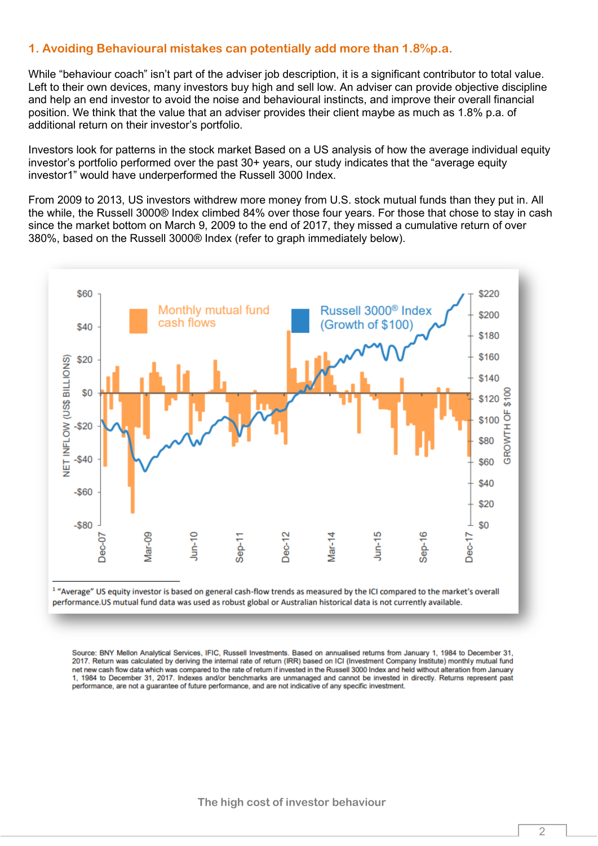## **1. Avoiding Behavioural mistakes can potentially add more than 1.8%p.a.**

While "behaviour coach" isn't part of the adviser job description, it is a significant contributor to total value. Left to their own devices, many investors buy high and sell low. An adviser can provide objective discipline and help an end investor to avoid the noise and behavioural instincts, and improve their overall financial position. We think that the value that an adviser provides their client maybe as much as 1.8% p.a. of additional return on their investor's portfolio.

Investors look for patterns in the stock market Based on a US analysis of how the average individual equity investor's portfolio performed over the past 30+ years, our study indicates that the "average equity investor1" would have underperformed the Russell 3000 Index.

From 2009 to 2013, US investors withdrew more money from U.S. stock mutual funds than they put in. All the while, the Russell 3000® Index climbed 84% over those four years. For those that chose to stay in cash since the market bottom on March 9, 2009 to the end of 2017, they missed a cumulative return of over 380%, based on the Russell 3000® Index (refer to graph immediately below).



<sup>1</sup> "Average" US equity investor is based on general cash-flow trends as measured by the ICI compared to the market's overall performance.US mutual fund data was used as robust global or Australian historical data is not currently available.

Source: BNY Mellon Analytical Services, IFIC, Russell Investments. Based on annualised returns from January 1, 1984 to December 31, 2017. Return was calculated by deriving the internal rate of return (IRR) based on ICI (Investment Company Institute) monthly mutual fund net new cash flow data which was compared to the rate of return if invested in the Russell 3000 Index and held without alteration from January 1, 1984 to December 31, 2017. Indexes and/or benchmarks are unmanaged and cannot be invested in directly. Returns represent past performance, are not a guarantee of future performance, and are not indicative of any specific investment.

**The high cost of investor behaviour**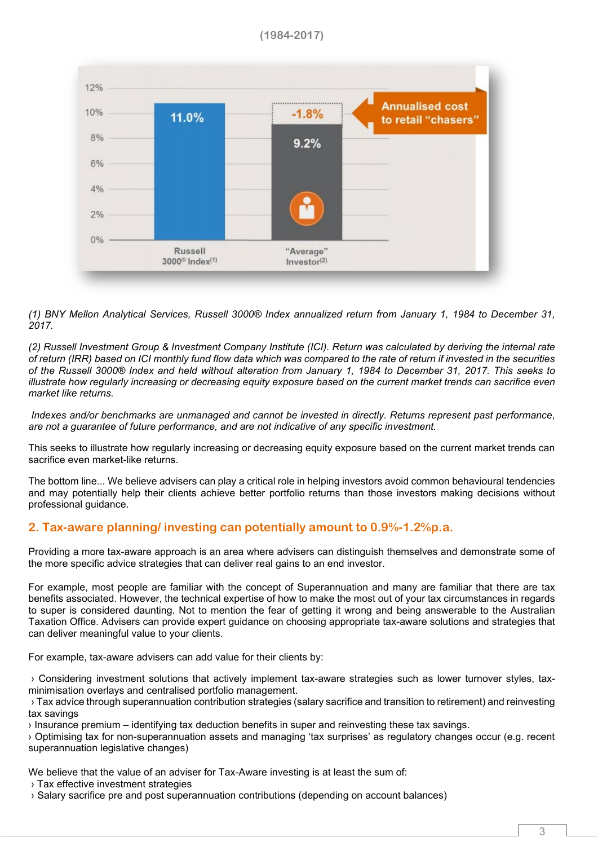**(1984-2017)**



*(1) BNY Mellon Analytical Services, Russell 3000® Index annualized return from January 1, 1984 to December 31, 2017.*

*(2) Russell Investment Group & Investment Company Institute (ICI). Return was calculated by deriving the internal rate of return (IRR) based on ICI monthly fund flow data which was compared to the rate of return if invested in the securities of the Russell 3000® Index and held without alteration from January 1, 1984 to December 31, 2017. This seeks to illustrate how regularly increasing or decreasing equity exposure based on the current market trends can sacrifice even market like returns.*

*Indexes and/or benchmarks are unmanaged and cannot be invested in directly. Returns represent past performance, are not a guarantee of future performance, and are not indicative of any specific investment.* 

This seeks to illustrate how regularly increasing or decreasing equity exposure based on the current market trends can sacrifice even market-like returns.

The bottom line... We believe advisers can play a critical role in helping investors avoid common behavioural tendencies and may potentially help their clients achieve better portfolio returns than those investors making decisions without professional guidance.

## **2. Tax-aware planning/ investing can potentially amount to 0.9%-1.2%p.a.**

Providing a more tax-aware approach is an area where advisers can distinguish themselves and demonstrate some of the more specific advice strategies that can deliver real gains to an end investor.

For example, most people are familiar with the concept of Superannuation and many are familiar that there are tax benefits associated. However, the technical expertise of how to make the most out of your tax circumstances in regards to super is considered daunting. Not to mention the fear of getting it wrong and being answerable to the Australian Taxation Office. Advisers can provide expert guidance on choosing appropriate tax-aware solutions and strategies that can deliver meaningful value to your clients.

For example, tax-aware advisers can add value for their clients by:

› Considering investment solutions that actively implement tax-aware strategies such as lower turnover styles, taxminimisation overlays and centralised portfolio management.

› Tax advice through superannuation contribution strategies (salary sacrifice and transition to retirement) and reinvesting tax savings

› Insurance premium – identifying tax deduction benefits in super and reinvesting these tax savings.

› Optimising tax for non-superannuation assets and managing 'tax surprises' as regulatory changes occur (e.g. recent superannuation legislative changes)

We believe that the value of an adviser for Tax-Aware investing is at least the sum of:

- › Tax effective investment strategies
- › Salary sacrifice pre and post superannuation contributions (depending on account balances)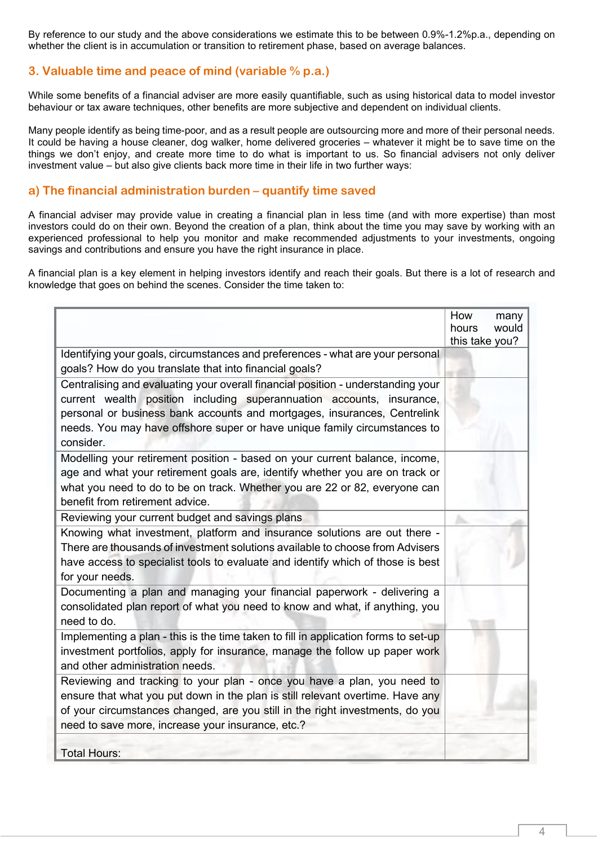By reference to our study and the above considerations we estimate this to be between 0.9%-1.2%p.a., depending on whether the client is in accumulation or transition to retirement phase, based on average balances.

## **3. Valuable time and peace of mind (variable % p.a.)**

While some benefits of a financial adviser are more easily quantifiable, such as using historical data to model investor behaviour or tax aware techniques, other benefits are more subjective and dependent on individual clients.

Many people identify as being time-poor, and as a result people are outsourcing more and more of their personal needs. It could be having a house cleaner, dog walker, home delivered groceries – whatever it might be to save time on the things we don't enjoy, and create more time to do what is important to us. So financial advisers not only deliver investment value – but also give clients back more time in their life in two further ways:

#### **a) The financial administration burden – quantify time saved**

A financial adviser may provide value in creating a financial plan in less time (and with more expertise) than most investors could do on their own. Beyond the creation of a plan, think about the time you may save by working with an experienced professional to help you monitor and make recommended adjustments to your investments, ongoing savings and contributions and ensure you have the right insurance in place.

A financial plan is a key element in helping investors identify and reach their goals. But there is a lot of research and knowledge that goes on behind the scenes. Consider the time taken to:

|                                                                                     | How<br>hours   | many<br>would |
|-------------------------------------------------------------------------------------|----------------|---------------|
|                                                                                     | this take you? |               |
| Identifying your goals, circumstances and preferences - what are your personal      |                |               |
| goals? How do you translate that into financial goals?                              |                |               |
| Centralising and evaluating your overall financial position - understanding your    |                |               |
| current wealth position including superannuation accounts, insurance,               |                |               |
| personal or business bank accounts and mortgages, insurances, Centrelink            |                |               |
| needs. You may have offshore super or have unique family circumstances to           |                |               |
| consider.                                                                           |                |               |
| Modelling your retirement position - based on your current balance, income,         |                |               |
| age and what your retirement goals are, identify whether you are on track or        |                |               |
| what you need to do to be on track. Whether you are 22 or 82, everyone can          |                |               |
| benefit from retirement advice.                                                     |                |               |
| Reviewing your current budget and savings plans                                     |                |               |
| Knowing what investment, platform and insurance solutions are out there -           |                |               |
| There are thousands of investment solutions available to choose from Advisers       |                |               |
| have access to specialist tools to evaluate and identify which of those is best     |                |               |
| for your needs.                                                                     |                |               |
| Documenting a plan and managing your financial paperwork - delivering a             |                |               |
| consolidated plan report of what you need to know and what, if anything, you        |                |               |
| need to do.                                                                         |                |               |
| Implementing a plan - this is the time taken to fill in application forms to set-up |                |               |
| investment portfolios, apply for insurance, manage the follow up paper work         |                |               |
| and other administration needs.                                                     |                |               |
| Reviewing and tracking to your plan - once you have a plan, you need to             |                |               |
| ensure that what you put down in the plan is still relevant overtime. Have any      |                |               |
| of your circumstances changed, are you still in the right investments, do you       |                |               |
| need to save more, increase your insurance, etc.?                                   |                |               |
|                                                                                     |                |               |
| <b>Total Hours:</b>                                                                 |                |               |